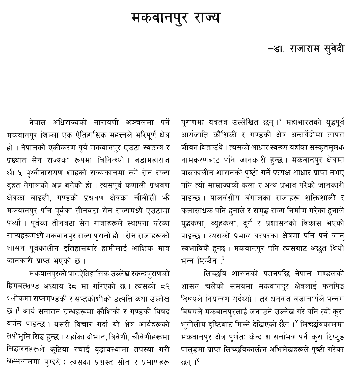# मकवानपुर राज्य

−डा. राजाराम सुवेदी

पुराणमा यत्रतत्र उल्लेखित छन् ।<sup>२</sup> महाभारतको युद्धपूर्व आर्यजाति कौशिकी र गण्डकी क्षेत्र अन्तर्वेदीमा तापस जीवन बिताउँथे । त्यसको आधार स्वरूप यहाँका संस्कृतमुलक नामकरणबाट पनि जानकारी हुन्छ । मकवानपुर क्षेत्रमा पालकालीन शासनको पृष्टी गर्ने प्रत्यक्ष आधार प्राप्त नभए पनि त्यो साम्राज्यको कला र अन्य प्रभाव परेको जानकारी पाइन्छ । पालवंशीय बंगालका राजाहरू शक्तिशाली र कलासाधक पनि हनाले र समुद्ध राज्य निर्माण गरेका हुनाले युद्धकला, व्यूहकला, दुर्ग र प्रशासनको विकास भएको पाइन्छ। त्यसको प्रभाव वरपरका क्षेत्रमा पनि पर्न जान् स्वभाविकै हुन्छ। मकवानपुर पनि त्यसबाट अछुत थियो भन्न मिल्दैन । $^3$ 

लिच्छवि शासनको पतनपछि नेपाल मण्डलको शासन चलेको समयमा मकवानपुर क्षेत्रलाई फनपिड विषयले नियन्त्रण गर्दथ्यो । तर धनवज्र वज्राचार्यले पन्नग विषयले मकवानपुरलाई जनाउने उल्लेख गरे पनि त्यो कुरा भूगोलीय दृष्टिबाट मिल्ने देखिएको छैन ।<sup>४</sup> लिच्छविकालमा मकवानपुर क्षेत्र पूर्णतः केन्द्र शासनभित्र पर्ने कुरा टिष्टुङ पालुङमा प्राप्त लिच्छविकालीन अभिलेखहरूले पृष्टी गरेका छन्।

नेपाल अधिराज्यको नारायणी अञ्चलमा पर्ने मकवानपर जिल्ला एक ऐतिहासिक महत्त्वले भरिपर्ण क्षेत्र हो । नेपालको एकीकरण पूर्व मकवानपुर एउटा स्वतन्त्र र प्रख्यात सेन राज्यका रूपमा चिनिन्थ्यो । बडामहाराज श्री ५ पथ्वीनारायण शाहको राज्यकालमा त्यो सेन राज्य वृहत नेपालको अङ्ग बनेको हो। त्यसपूर्व कर्णाली प्रश्रवण क्षेत्रका बाइसी, गण्डकी प्रश्रवण क्षेत्रका चौबीसी भें मकवानपुर पनि पूर्वका तीनवटा सेन राज्यमध्ये एउटामा पर्थ्यो । पूर्वका तीनवटा सेन राजाहरूले स्थापना गरेका राज्यहरूमध्ये मकवानपुर राज्य पुरानो हो । सेन राजाहरूको शासन पूर्वकालीन इतिहासबारे हामीलाई आंशिक मात्र जानकारी प्राप्त भएको छ ।

मकवानपुरको प्रागऐतिहासिक उल्लेख स्कन्दपुराणको हिमवत्खण्ड अध्याय ३८ मा गरिएको छ। त्यसको ८२ श्लोकमा सप्तगण्डकी र सप्तकोशीको उत्पत्ति कथा उल्लेख छ ।<sup>1</sup> आर्य सनातन ग्रन्थहरूमा कौशिकी र गण्डकी विषद वर्णन पाइन्छ । यसरी विचार गर्दा यो क्षेत्र आर्यहरूको तपोभूमि सिद्ध हुन्छ । यहाँका दोभान, त्रिवेणी, चौवेणीहरूमा सिद्धजनहरूले कुटिया रचाई वृद्धावस्थामा तपस्या गरी ब्रह्मनालमा पुग्दथे । त्यसका प्रशस्त स्रोत र प्रमाणहरू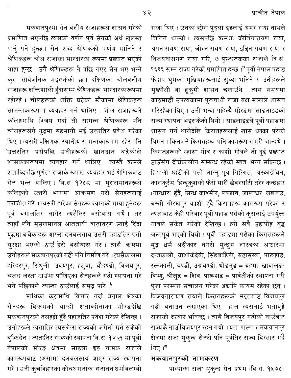राजा थिए । उनका छोरा पुङ्गला इडलाई अमर राया नामले चिनिन थाल्यो । त्यसपछि क्रमशः कीर्तिनारायण राया, अपनारायण राया, जोरनारायण राया, इडिनारायण राया र विजयनारायण राया गरी, ७ पुस्तातकका राजाले वि.सं. १६६६ सम्म राज्य गरेको प्रमाणित हुन्छ ।<sup>७</sup> पूर्वी नेपाल पहाड फेदाप थुमका मुखियाहरूलाई सुब्बा भनिने र उनीहरूले मुख्यौली वा हक्**मी शासन चलाउँथे। त्यस समयमा** काठमाडौं उपत्यकामा पुरूषार्थी राजा यक्ष मल्लले शासन गरिरहेका थिए । उनी भन्दा पहिल्यै मोरङमा साङलाइङको राज्य स्थापना भइसकेको थियो । साङलाइङले पूर्वी पहाडमा शासन गर्न थालेदेखि किरातहरूलाई खास धक्का परेको थिएन । किनभने किरातहरू पनि कामरूप राम्ररी जान्दथे । किरातहरूको ल्हासा गोत्र र काशी गोत्रले ती दुई प्रख्यात ठाउँसंग दीर्घकालीन सम्बन्ध रहेको स्वतः भन्न सकिन्छ । हिमाली घाँटीको पत्तो लाग्नु पूर्व गिल्गित, अस्काईचिन, काराकुर्रम, हिन्दूकुशको फेरो मारी खैवरघाँटी तरेर कन्धहार (गान्धार) हुँदै, सिन्ध काश्मीर, पञ्जाब, जालन्धर, लखनउ, बस्ती गोरखपुर काशी हुँदै किरातहरू कामरूप परेका र त्यताबाट केही परिवार पूर्वी पहाड पसेको करालाई उपर्युक्त गोत्रले संकेत गरेको देखिन्छ । त्यो सबै उहापोह बुद्ध जन्मपूर्व भएको थियो । पूर्वी पहाडमा पसेका किरातहरूले बुद्ध धर्म अङ्गीकार नगरी मुन्धुम शास्त्रका आधारमा दन्तकाली, याशोकेदेवी, सिंहबाहिनी, बुढासुब्बा, पारूहाङ, रक्तकाली, चण्डी, उग्रचण्डी, थोडलुड = ब्रह्मा, खावालुड-विष्णु, श्रीलुङ = शिव, पारूहाङ = पार्वतीको स्थापना गरी पूजा परम्परा संचालन गरेका अद्यापि कायम रहेका छन्। विजयनारायण रायाले किरातहरूको मद्दतबाट विजयपुर गढी बनाउन लगाएका थिए । हाल त्यसलाई भतावुङ्गे राजाको दरबार भनिन्छ । त्यसै विजयपुर गढीको नाउँबाट राज्यकै नाउँ विजयपुर रहन गयो । यता पाल्पा र मकवानपुर क्षेत्रमा राजा मुकुन्द सेनले पनि पूर्वतिर राज्य विस्तार गर्दै थिए ।<sup>५</sup>

#### मकवानपुरको नामकरण

पाल्पाका राजा मुकुन्द सेन प्रथम (वि.सं. १५७५-

मकवानपुरमा सेन वंशीय राजाहरूले शासन गरेको

प्रमाणित भएपछि त्यसको वर्णन पूर्व सेनको अर्थ खुलस्त पार्नुपर्ने हुन्छ । सेन शब्द श्रेणिकको पर्याय मानिने र श्रेणिकहरू चोल राजाका भारदारका रूपमा प्रख्यात भएको थाहा हुन्छ । उनै श्रेणिकहरू नै पछि गएर सेन भए भन्ने करा सार्वजनिक भइसकेको छ। दक्षिणका चोलवंशीय राजाहरू शक्तिशाली हुँदासम्म श्रेणिकहरू भारदारकारूपमा रहीरहे । चोलहरूको शक्ति घटेको मौकामा श्रेणिकहरू सामन्तकारूपमा व्यवहार गर्न थालिए। चोल राजाहरूले कलिङ्गमाथि विजय गर्दा ती सामन्त श्रेणिकहरू पनि चोलहरूसंगै युद्धमा सहभागी भई उत्तरतिर प्रवेश गरेका थिए । त्यसरी दक्षिणका स्थानीय सामन्तकारूपमा रहेर पनि उत्तरतिर पसेपछि उनीहरूको खानदान बढेकोले शासककारूपमा व्यवहार गर्न थालिए। त्यस्तै क्रमले शताब्दिपछि पूर्णतः राजाकै रूपमा व्यवहार भई श्रेणिकबाट सेन भन्न थालिए। वि.सं १२५८ मा मुसलमानहरूले कलिङ्गको उत्तरी भागमा आक्रमण गरी सेनहरूलाई पराजीत गरे । त्यसरी हारेका सेनहरू ज्यानको माया हुनेहरू पूर्व बंगालतिर लागेर त्यतैतिर बसोबास गर्थे। तर त्यहाँ पनि मसलमानले आततायी वातावरण ल्याई दिंदा युद्धमा बचेकाहरू आफ्ना दलबलसाथ उत्तरी पहाडतिर पसी सुरक्षा भएको ठाउँ हेरी बसोबास गरे। त्यसै क्रममा उनीहरूले मकवानपुरको गढी पनि निर्माण गरे । त्यसैकालमा हरिहरपुर, सिंधुली, उदयपुर, हतूवा, चौदण्डी, विजयपुर, चतरा जस्ता ठाउँमा पाँजिएका सेनहरूले गढी स्थापना गरे भने पछिकाले त्यस्ता ठाउँलाई समुद्ध पारे ।<sup>६</sup>

माथिका कुरामाथि विचार गर्दा बंगाल क्षेत्रका सेनहरू विक्रमको बाऱ्हौ शताब्दीताका मोरडदेखि मकवानपुरको तलहट्टी हुँदै पहाडतिर प्रवेश गरेको देखिन्छ । उनीहरूले त्यतातिर त्यसबेला राज्यको जगेर्ना गर्न सकेको बुफ्रिदैन । त्यतातिर राज्यको स्थापना वि.सं. १४२१ मा पूर्वी नेपालको मोरङ क्षेत्रमा साङला इङ नामक राजाले कामरूपबाट (असाम) दलबलसाथ आएर राज्य स्थापना गरे । उनी कुचविहारका कोचघरानाका सनातन धर्मावलम्बी

४२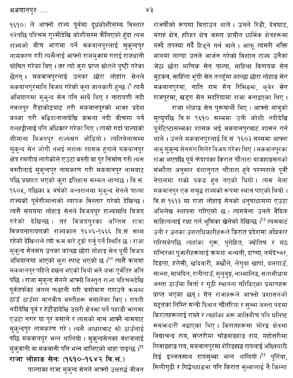राजर्षीको रूपमा बिताउन थाले। उनले रिडी, देवघाट, बराह क्षेत्र, हरिहर क्षेत्र जस्ता प्राचीन धार्मिक क्षेत्रहरूमा बस्दै तपस्या गर्दै हिड्ने गर्न थाले । आफू त्यसरी भक्ति भावमा लाग्दा उनले आर्जन गरेको विशाल राज्य उनैका जेठा छोरा माणिक सेन पाल्पा, माहिला विनायक सेन वुटवल, साहिला भूंगी सेन तनहूँमा कान्छा छोरा लोहाङ सेन मकवानपुरमा, नाति राम सेन रिसिडमा, कुवेर सेन राजपुरमा, खड्ग सेन मदरियामा राजा बनाइएका थिए।

राजा लोहाङ सेन पुरूषार्थी थिए। आफ्नो बाबको मृत्युपछि वि.सं १६१० सम्ममा उनी कोशी नदीदेखि पूर्वटिष्टासम्मका शासक भई मकवानपुरबाट शासन गर्न थाले । उनले मकवानपुरलाई वि.सं .१६०३ सम्ममा आफ्ना बाब् मुकुन्द सेनसंग मिलेर विजय गरेका थिए । मकवानपुरका राजा भएपछि पूर्व फेदापका किरात चौतारा बाजहाडसंगको संभौता अनुसार वंशानुगत चौतारा हने परम्पराले पूर्वी नेपालमा राम्रो पकड हुन गएको थियो। त्यस बेला मकवानपुर एक समृद्ध राज्यको रूपमा स्थान पाएको थियो । वि.सं १६१३ मा राजा लोहाङ्ग सेनको धनुषाधाममा एउटा अभिलेख स्थापना गरिएको छ। त्यसबेला उनले वैदिक साहित्यलाई रक्षा गर्न भूमिका खेलेको देखिन्छ ।<sup>१२</sup> त्यसबाट उनी र उनका उत्तराधिकारीहरूले किरात प्रदेशमा अधिकार गरिसकेपछि त्यहाँका गुरू, पुरोहित, ज्योतिष र मठ मन्दिरका पूजारीहरूलाई क्रमशः मन्थली, दाप्चा, नर्मदेश्वर, दिडला, हलेसी, खाँदवारी, अखौले, लेगुवा खार्पा, दलगाउँ, साब्ला, साभदिन, रानीगाउँ, सुलुवुङ्ग, नाम्सालिङ, सतासीधाम जस्ता ठाउँमा विर्ता र गुठी स्थापना गरिदिएका प्रमाणहरू प्राप्त भएका छन्। सेन राजाहरूले आफ्नो प्रशासनको मद्दतका निम्ति मन्त्री दिवान चौतरिया र सब्बा जस्ता पदमा किरातहरूलाई राख्ने र त्यहाँका अरू जातिबीच पनि घनिष्ट समफ़दारी बढाएका थिए। किरातहरूमा मोरङ क्षेत्रमा विद्याचन्द्र राय, सप्तरीमा चोडवाडहाड राय, महोत्तरीमा लिवाडहाड राय, मकवानपुरमा शेरिडहाड रायलाई अख्तियारी दिई इज्जतसाथ रायस्ब्बा भन्न थालियो।<sup>१३</sup> पूर्निया, सिलीगुढी र गिद्धेपहाडमा पनि किरात सुब्बालाई नै जिम्मा

१६१०) ले आफ्नो राज्य पूर्वमा दूधकोशीसम्म विस्तार गरेपछि पश्चिम गुल्मीदेखि कोशीसम्म फैलिएको हुँदा त्यस राज्यको बीच भागमा पर्ने मकवानपुरलाई मुक्न्दपुर नामकरण गरी त्यसैलाई आफ्नो राजमुकाम गराई राजधानी घोषित गरेका थिए । तर त्यो करा प्राप्त स्रोतले पृष्टी गरेका छैनन् । मकवानपुरलाई उनका छोरा लोहांग सेनले मकवानपुरमाथि विजय गरेको कुरा जानकारी हुन्छ । त्यसै अभियानमा मुक्त्द सेन पनि साथै थिए र नारायणी नदी नवलपुर गैंडाकोटबाट तरी मकवानपुरको भावर प्रदेश कब्जा गरी बढियानालादेखि कमला नदी बीचमा पर्ने तलहट्टीलाई पनि अधिकार गरेका थिए । त्यसो गर्दा पाल्पाको सीमाना विजयपुर राज्यसंग जोडियो। त्यतिबेलासम्म मुकून्द सेन जोगी नभई सशक्त शासक हुनाले मकबानपुर क्षेत्र रमणीय लागेकोले एउटा बस्ती वा पुर निर्माण गरी त्यस बस्तीलाई मुकुन्दपुर नामकरण गरी मकवानपुर नामबाट पछि प्रख्यात भएको कुरा इतिहास सम्मत लाग्दछ। वि.सं. १६०५, पछिका ५ वर्षको अन्तरालमा मुकुन्द सेनले पाल्पा राज्यको पूर्वसीमानाको व्यापक विस्तार गरेको देखिन्छ । त्यसै समयमा लोहाङ्ग सेनले विजयपुर राज्यमाथि विजय गरेको देखिन्छ । तर विजयपुरका अन्तिम राजा विजयनारायणको राज्यकाल १६४६-१६६६ वि.सं सम्म रहेको देखिनाले त्यो क्रम बारे टुङ्गो गर्न् पर्ने स्थिति छ । राजा मुकुन्द सेनसंग उनका कान्छा छोरा लोहाङ्ग सेन पूर्वी विजय अभियानमा आएको कुरा स्पष्ट भएको छ ।<sup>१०</sup> त्यसै क्रममा मकवानपुर पहिले दखल भएको थियो भने अफ पूर्वतिर अलि पछि । राजा मुकुन्द सेनले आफ्नो विस्तृत राज्य पश्चिमदेखि पूर्वतर्फका जंगल फडानी गरी बसोबास गराउने कममा ठाउँ ठाउँमा मानवीय बस्तीहरू बसालेका थिए। रापती नदीदेखि पूर्व र हेटौंडादेखि उत्तरी क्षेत्रमा पर्ने पहाडी भागमा एउटा नगर या पुर बसाले र त्यसको नाम आफ्नै नामबाट मुकुन्दपुर नामकरण गरे। त्यसै आधारबाट सो ठाउँलाई पछि मकवानपुर भन्न थालियो । मुकुन्दसेनका वंशजलाई मुकुवानी वा मकवानी पनि भन्न थालिएको थाहा पाइन्छ ।<sup>११</sup> राजा लोहाङ सेनः (१६१०-१६४२ वि.सं.)

पाल्पाका राजा मुकुन्द सेनले आफ्नो उत्तरार्द्ध जीवन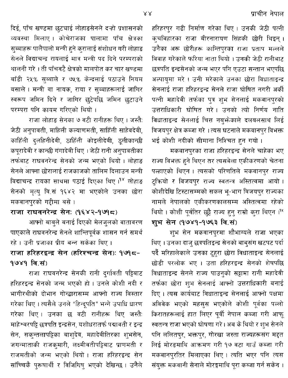दिई, पाँच खण्डमा छटचाई लोहाडसेनले दऱ्हो प्रशासनको व्यवस्था मिलाए। कोचेराजका पालामा पाँच क्षेत्रका सब्बाहरू पालैपालो मन्त्री हने करालाई संशोधन गरी लोहाङ सेनले विद्याचन्द्र रायलाई मात्र मन्त्री पद दिने परम्पराको थालनी गरे । ती पाँचवटै क्षेत्रको मालपोत कर चार खण्डमा बाँडी २५% सब्बाले र ७५% केन्द्रलाई पठाउने नियम बसाले । मन्त्री वा नायक, राया र स्ब्बाहरूलाई जागिर स्वरूप जमिन दिने र जागिर छुटेपछि जमिन छुटाउने परम्परा पनि कायम गरिएको थियो ।

राजा लोहाङ सेनका ७ वटी रानीहरू थिए । जस्तै: जेठी अनुपावती, माहिली कल्याणमती, साहिँली साहेवदेवी, काहिंली दुलहिनीदेवी, ठाहिंली कोइलीदेवी, ठुलीकान्छी कपुरादेवी र कान्छी गंगादेवी थिए । जेठी रानी अनुपावतीका तर्फबाट राघवनरेन्द्र सेनको जन्म भएको थियो। लोहाङ सेनले आफ्ना छोरालाई राजकाजको तालिम दिलाउन मन्त्री विद्याचन्द्र रायका साथमा पठाई दिएका थिए ।<sup>१४</sup> लोहाङ सेनको मृत्यु वि.सं १६४२ मा भएकोले उनका छोरा मकवानपुरको गद्दीमा बसे ।

### राजा राघवनरेन्द्र सेनः (१६४२-१७१८)

आफ्नो बाब्ले बनाई दिएको मेलजुलको वातावरण पाएकाले राघवनरेन्द्र सेनले शान्तिपूर्वक शासन गर्न समर्थ रहे। उनी प्रजाका प्रीय बन्न सकेका थिए।

## राजा हरिहरइन्द्र सेन (हरिश्चन्द्र सेन): १७१८-१७४१ वि.सं)

राजा राघवनरेन्द्र सेनकी रानी दुर्गावती पट्टिबाट हरिहरइन्द्र सेनको जन्म भएको हो। उनले कोशी नदी र भागीरथीको दोभान गोन्द्वारासम्म आफ्नो राज्य विस्तार गरेका थिए । त्यसैले उनले "हिन्दुपति" भन्ने उपाधि धारण गरेका थिए। उनका छ वटी रानीहरू थिए जस्तै: माहेश्वरपट्टि छत्रपति इन्द्रसेन, यशोधरातर्फ पद्मावती र इन्द्र सेन, सक्न्तलापट्टिका बाश्देव, महादेवीतिरका शुभसेन, जगन्माताकी राजकुमारी, लक्ष्मीवतीपट्टिबाट प्राणमती र राजमतीको जन्म भएको थियो। राजा हरिहरइन्द्र सेन साँच्चिकै पुरूषार्थी र विजिगिष भएको देखिन्छ। उनैले

हरिहरपुर गढी निर्माण गरेका थिए। उनकी जेठी पत्नी क्चबिहारका राजा बीरनारायण सिंहकी छोरी थिइन् । उनैका अरू छोरीहरू कान्तिपुरका राजा प्रताप मल्लले विवाह गरेकाले फरिया नाता थियो । उनकी जेठी रानीबाट छत्रपति इन्द्रसेनको जन्म भएर पनि एउटा सन्तान भएपछि अल्पायमा मरे । उनी मरेकाले उनका छोरा विधाताइन्द्र सेनलाई राजा हरिहरइन्द्र सेनले राजा घोषित नगरी अर्की पत्नी महादेवी तर्फका पुत्र शुभ सेनलाई मकवानपुरको उत्तराधिकारी घोषित गरे। उनको त्यो निर्णय नाति विधाताइन्द्र सेनलाई चित्त नब़्फ़ेकाले दलबलसाथ लिई विजयपुर क्षेत्र कब्जा गरे । त्यस घटनाले मकवानपुर विभक्त भई कोशी नदीको सीमाना निश्चित हुन गयो।

मकवानपुरका राजा हरिहरइन्द्र सेनले चाहेका भए राज्य विभक्त हुने थिएन तर त्यसबेला एकीकरणको चेतना पल्हाएको थिएन । त्यसको परिणतिले मकवानपुर राज्य टकियो र विजयपुर राज्य स्वतन्त्र अस्तित्वमा आयो। कोशीदेखि टिस्टासम्मको सकल भू-भाग विजयपुर राज्यका नामले नेपालको एकीकरणकालसम्म अस्तित्वमा रहेको थियो। कोशी पूर्वतिर छुट्टै राज्य हन् राम्रो करा थिएन।1 शुभ सेन (१७४१-१७६३ वि.सं)

शुभ सेन मकवानपुरमा शौभाग्यले राजा भएका थिए । उनका दाज् छत्रपतिइन्द्र सेनको बाब्संग खटपट पर्दा पर्दै मरिहालेकाले उनका ट्हरा छोरा विधाताइन्द्र सेनलाई छोडी परलोक भए । उता हरिहरइन्द्र सेनको शेषपछि विधाताइन्द्र सेनले राज्य पाउनुको सट्टामा रानी महादेवी तर्फका छोरा शुभ सेनलाई आफ्नो उत्तराधिकारी बनाई दिए । त्यस कार्यबाट विधाताइन्द्र सेनलाई आफ्नो पक्षमा अविवेक भएको महसुस भएकोले कोशी पूर्वका पल्लो किरातहरूलाई हात लिएर पूर्वी नेपाल कब्जा गरी आफू स्वतन्त्र राजा भएको घोषणा गरे। अब के थियो र शुभ सेनले पनि ललितपुर, भक्तपुर, गोरखा जस्ता राज्यहरूसंग म<mark>द्द</mark>त लिई मोरङमाथि आक्रमण गरी १७ वटा गाउँ कब्जा गरी मकवानपुरतिर मिलाएका थिए। त्यति भएर पनि त्यस संयुक्त मकवानी सेनाले मोरङ्गमाथि पूरा कब्जा गर्न सकेन ।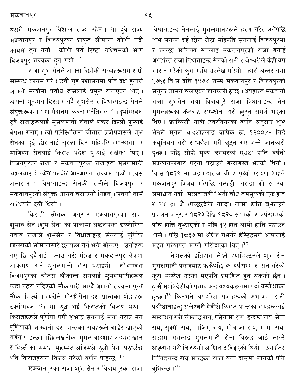मकवानपुर ….

यसरी मकवानपुर विशाल राज्य रहेन। ती दुवै राज्य मकवानपुर र विजयपुरको प्राकृत सीमाना कोशी नदी कायम हुन गयो। कोशी पूर्व टिप्टा पश्चिमको भाग विजयपुर राज्यको हुन गयो ।<sup>१६</sup>

राजा शुभ सेनले आफ्ना छिमेकी राज्यहरूसंग राम्रो सम्बन्ध कायम गरे। उनी गृह प्रशासनमा पनि दक्ष हुनाले आफ्नो मन्त्रीमा प्रवोध दासलाई प्रमुख बनाएका थिए । आफ्नो भू-भाग विस्तार गर्दै शुभसेन र विधाताइन्द्र सेनले संयुक्तरूपमा गंगा मैदानमा कब्जा गर्नतिर लागे । दुर्भाग्यवंश दवै राजाहरूलाई मुसलमानी सेनाले पकरे दिल्ली प्ऱ्याई बेपत्ता गराए। त्यो परिस्थितिमा चौतारा प्रवोधदासले शुभ सेनका दई छोरालाई सुरक्षा दिन महिपति (मान्धाता) र माणिक्य सेनलाई किरात प्रदेश प्ऱ्याई राखेका थिए। विजयपुरका राजा र मकवानपुरका राजाहरू मुसलमानी चङ्गलबाट येनकेन फुल्केर आ-आफ्ना राज्यमा फर्के । त्यस अन्तरालमा विधाताइन्द्र सेनकी रानीले विजयपुर र मकवानपुरको संयुक्त शासन चलाएकी थिइन् । उनको नाउँ राजेश्वरी देवी थियो।

किराती स्रोतका अनुसार मकवानपुरका राजा शुभाङ्ग सेन (शुभ सेन) का पालामा लखनउका इस्फोरिया नवाव राजाले शुभसेन र विधाताइन्द्र सेनलाई पूर्णिया जिल्लाको सीमानाबारे छलफल गर्न भनी बोलाए । उनीहरू गएपछि दवैलाई पकाउ गरी मोरङ र मकवानपुर क्षेत्रमा आक्रमण गर्न मुसलमानी सेना पठाइयो । शौभाग्वश विजयपुरका चौतरा श्रीकान्त रायलाई मुसलमानीहरूले कडा पहरा नदिएको मौकापारी भाग्दै आफ्नो राज्यमा पुग्ने मौका मिल्यो । त्यसैले मोरङ्गीसेना दश प्रान्तका योद्धाहरू टक्सोगञ्ज (?) मा यद्ध भई किरातको विजय भयो। किरातहरूले पूर्णिया पुगी शुभाङ्ग सेनलाई मुक्त गराए भने पूर्णियाको आम्दानी दश प्रान्तका रायहरूले बाँडेर खाएको वर्णन पाइन्छ । पछि लखनौका म्गल वादशाह अहमद खान र दिल्लीका सम्राट मुहम्मद अजिमले ठूलो सेना पठाउँदा पनि किरातहरूले विजय गरेको वर्णन पाइन्छ ।

मकवानपुरका राजा शुभ सेन र विजयपुरका राजा

विधाताइन्द्र सेनलाई मुसलमानहरूले हरण गरेर लगेपछि शुभ सेनका दुई छोरा जेठा महिपति सेनलाई विजयपुरमा र कान्छा माणिक्य सेनलाई मकवानपुरको राजा बनाई अपहरित राजा विधाताइन्द्र सेनकी रानी राजेश्वरीले केही वर्ष शासन गरेको करा माथि उल्लेख गरियो । त्यसै अन्तरालमा १७६३ वि.सं देखि १७७४ सम्म मकवानपुर र विजयपुरको संयुक्त शासन चलाएको जानकारी हुन्छ । अपहरित मकवानी राजा शुभसेन तथा विजयपुरे राजा विधाताइन्द्र सेन मुगलहरूको कैदबाट सम्फौता गरी छुट्न समर्थ भएका थिए । फ्रान्सिली यात्री टेवरनियरको वर्णन अनुसार शुभ सेनले मुगल वादशाहलाई वार्षिक रू. १२००/- तिर्ने कवुलियत गरी सम्फौता गरी छुटुन गए भन्ने जानकारी हुन्छ। पछि सोही मूल्य बराबरको एउटा हात्ति वर्षेनी मकवानपुरबाट पटना पठाउने बन्दोबस्त भएको थियो। वि.सं १८१९ मा बडामहाराज श्री ५ पृथ्वीनारायण शाहले मकवानपुर विजय गरेपछि तलहट्टी (तराई) को समस्या समाधान गर्दा "मालवाजवी" भनी चौध तमसुकको एक हात र १४ हातकै (पुच्छरदेखि नाप्दा) लामो हात्ति बुभ्फाउने प्रचलन अनुसार १८२३ देखि १८२७ सम्मको ५ वर्षसम्मको पाँच हात्ति बुफाएको र पछि १२ हात लामो हात्ति पठाउन थाले। पछि १८३७ मा अंग्रेज गभर्नर हेस्टिङसले आफुलाई मद्दत गरेवापत माफी गरिदिएका थिए ।<sup>१८</sup>

नेपालको इतिहास लेख्ने ह्यामिल्टनले शुभ सेन मुसलमानी पकडबाट फर्केपछि ३१ वर्षसम्म शासन गरेको करा उल्लेख गरेका भएपनि प्रमाणित हुन सकेको छैन। हामीमा विदेशीको प्रभाव अनावश्यकरूपमा पर्दा यस्तै धोका हुन्छ ।<sup>१९</sup> किनभने अपहरित राजाहरूको अभावमा रानी पद्मीधाताइन्द राजेश्वरी देवीले किरात प्रान्तका रायहरूलाई सम्बोधन गरी चेम्जोड राय, पसेनामा राय, इन्दमा राय, सेवा राय, सुक्मी राय, माजिम् राय, मोआजा राय, गामा राय, साहागं रायलाई मुसलमानी सेना विरूद्ध जाई लाग्ने आह्वान गरी विजयको आशिर्वाद दिइएको थियो । अर्कातिर विचित्रचन्द्र राय मोरङको राजा बन्ने दाउमा लागेको पनि बुफिन्छ ।<sup>२०</sup>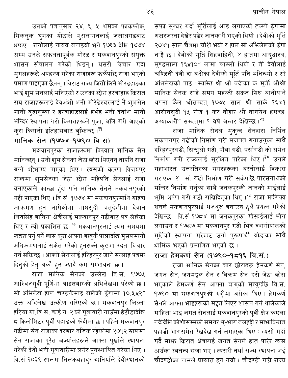उनको पत्रानुसार २४, ६, ५ थुमका फाकफोक, मिकलुक थुमका योद्धाले मुसलमानलाई जलालगढबाट धपाए। रानीलाई नायव बनाइयो भने १७६३ देखि १७७४ सम्म उनले सफलतापूर्वक मोरङ र मकवानपुरको संयुक्त शासन संचालन गरेकी थिइन् । यसरी विचार गर्दा मुगलहरूले अपहरण गरेका राजाहरू फर्केपछि राजा भएको प्रमाण पाइएका छैनन् । विराट राज्य जिती लिने मोरडहाडका भाई शुभ सेनलाई भनिएको र उनको छोरा हरबाहाङ किरात राय राजाहरूलाई देवअंशी भनी मोरेडेश्वरलाई नै शुभसेन मानी बुढासुब्बा र हरवाहाडलाई हर्भड भनी देवांश मानी मन्दिर स्थापना गरी किरातहरूले पूजा, बलि गरी आएको कुरा किराती इतिहासबाट ब्फिन्छ ।<sup>२१</sup>

### मानिक सेन (१७७४-१७९० वि.सं)

मकवानपुरका राजाहरूमा विख्यात मानिक सेन मानिन्छन् । उनी शुभ सेनका जेठा छोरा थिएनन् तापनि राजा बन्ने शौभाग्य पाएका थिए। त्यसको कारण विजयपुर राज्यमा शुभसेनका जेठा छोरा महिपति सेनलाई राजा बनाएकाले कान्छा हुँदा पनि मानिक सेनले मकवानपुरको गद्दी पाएका थिए । वि.सं. १७७४ मा मकवानपुरमाथि बाहच आक्रमण हुन लागेकोमा माघसुदी चतुर्दशीमा देवान शिवसिंह बानिया क्षेत्रीलाई मकवानपुर गढीबाट पत्र लेखेका थिए र त्यो प्रकाशित छ।<sup>२२</sup> मकवानपुरलाई त्यस समयमा खतरा पर्न् पर्ने खास करा आफ्ना बाब्कै पालादेखि मुसलमानी अतिक्रमणलाई संकेत गरेको हुनसक्ने कुरामा स्वतः विचार गर्न सकिन्छ । आफ्नो सेनालाई हरिहरपुर जाने सल्लाह पत्रमा दिनको हेतु अर्को हुन ज्यादै कम सम्भावना छ।

राजा मानिक सेनको उल्लेख वि.सं. १७७५ आश्विनसुदी पूर्णिमा आइतवारको अभिलेखमा परेको छ। सो अभिलेख हाल चण्डनीमाइ राखेको ढ्ँगामा १०.५x२" उक्त अभिलेख उत्कीर्ण गरिएको छ । मकवानपुर जिल्ला हटिया गा.वि.स. वार्ड नं. २ को गुबावारी गाउँमा हेटौडादेखि ८ किलोमिटर पूर्वी पहाडको फेदीमा छ । पहिले मकवानपुर गढीमा सेन राजाका दरबार नजिक रहेकोमा २०१२ सालमा सेन राजाका पूरेत अर्ज्यालहरूले आफ्ना पूर्खाले स्थापना गरेकी देवी भनी गुवावारीमा लगेर पुनर्स्थापित गरेका थिए । वि.सं २०३९ सालमा तिलकबहादुर बानियाँले देवीस्थानको सफा सुग्घर गर्दा मूर्तिलाई आड लगाएको तल्लो ढुँगामा अक्षरजस्ता देखेर पढेर जानकारी भएको थियो । देवीको मूर्ति २०४१ साल चैत्रमा चोरी भयो र हाल सो अभिलेखको ढुँगो नाड़ै छ । देवीको मूर्ति सिंहवाहिनी, ४ हातमा आयधाश्त्र, मण्डमाला १६x१०" लामा चाक्लो थियो र ती देवीलाई चण्डिनी देवी वा बदीका देवीको मूर्ति पनि भनिन्थ्यो र सो अभिलेखको पाठ "स्वस्ति श्री श्री वदीका क मुर्ती श्रीश्री मानिक सेनक राजे समय महन्ती सकत सिघ बानीयाने थपना कैल श्रीसम्बत् १७७५ साल श्री साके १६४१ आसीनसुदी १५ रोज १ कर नीहार श्री नारायेन हमत्रह: अग्याकारी" सम्वत्**मा १ वर्ष अन्तर देखिन्छ** ।<sup>२३</sup>

राजा मानिक सेनले मुकुन्द सेनद्वारा निर्मित मकवानपुर गढीको निर्माण गरी मजबुत बनाउनुका साथै हरिहरपुरगढी, सिन्धुली गढी, पौवा गढी, पर्सागढी को समेत निर्माण गरी राज्यलाई सुरक्षित पारेका थिए ।<sup>२४</sup> उनले महाभारत उत्तरतिरका मगरहरूका बस्तीलाई विकास गराएका र पर्सा गढ़ी निर्माण गरी सकेपछि पारसनाथको मन्दिर निर्माण गर्नुका साथै जनकपुरकी जानकी माईलाई भूमि अर्पण गरी गुठी राखिदिएका थिए ।<sup>२५</sup> राजा माणिक्य सेनले मकवानपुरलाई मजबुत बनाउन ठूलै प्रयत्न गरेको देखिन्छ। वि.सं १७८४ मा जनकपुरका गोसाईलाई भोग लगाउन र १७८७ मा मकवानपुर गढी भित्र वंशगोपालको मूर्तिको स्थापना गरेबाट उनी पुरूषार्थी योद्धाका साथै धार्मिक भएको प्रमाणित भएको छ ।

### राजा हेमकर्ण सेन (१७९०-१८१६ वि.सं.)

राजा मानिक सेनका चार छोराहरू हेमकर्ण सेन, जगत सेन, जयमङ्गल सेन र विक्रम सेन गरी जेठा छोरा भएकाले हेमकर्ण सेन आफ्ना बाब्को मृत्युपछि वि.सं. १७९० मा मकबानपुरको गद्दीमा बसेका थिए। हेमकर्ण सेनले आफ्ना भाइहरूको मद्दत लिएर शासन गर्न थालेकाले माहिला भाइ जगत सेनलाई मकवानपुरको पूर्वी क्षेत्र कमला नदीदेखि कोशीसम्मको समथर भू-भाग तलहट्टी र मार्फाकरात पहाडी भागसमेत रेखदेख गर्न लगाएका थिए। त्यसो गर्दा गर्दै माफ किरात क्षेत्रलाई जगत सेनले हात पारेर त्यस ठाउँका स्वतन्त्र राजा भए । त्यसरी नयाँ राज्य स्थापना भई चौदण्डीका नामले प्रख्यात हन गयो। चौदण्डी गढी राज्य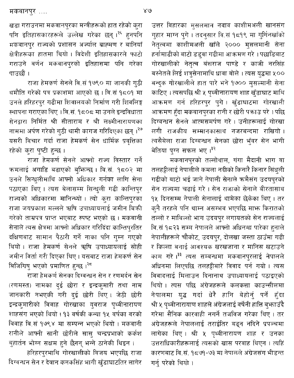मकवानपुर ....

खडा गराउनमा मकवानपुरका मन्त्रीहरूको हात रहेको कुरा पनि इतिहासकारहरूले उल्लेख गरेका छन्।<sup>२६</sup> हनपनि मकवानपुर राज्यको प्रशासन अर्ज्याल ब्राह्मण र बानियाँ क्षेत्रीहरूका हातमा थियो। विदेशी इतिहासकारले फाटो गराउने वर्णन मकवानपुरको इतिहासमा पनि गरेका पाउन्हों ।

राजा हेमकर्ण सेनले वि.सं १७९० मा जानकी गुठी थमौति गरेको पत्र प्रकाशमा आएको छ । वि.सं १८०१ मा उनले हरिहरपुर गढीमा शिवालयको निर्माण गरी शिवलिङ्ग स्थापना गराएका थिए । वि.सं. १८०८ मा उनले इन्द्रविधाता सेनद्रारा निर्मित श्री सीताराम र श्री लक्ष्मीनारायणका नाममा अर्पण गरेको गुठी थामी कागज गरिदिएका छन् ।<sup>२७</sup> यसरी विचार गर्दा राजा हेमकर्ण सेन धार्मिक प्रवृत्तिका रहेको करा पष्टी हन्छ।

राजा हेमकर्ण सेनले आफ्नो राज्य विस्तार गर्ने कमलाई अगाडि बढाएको बुफिन्छ। वि.सं. १८०२ मा उनले सिन्धलीमाथि आफ्नो अधिकार गर्नका लागि सेना पठाएका थिए। त्यस बेलासम्म सिन्धुली गढी कान्तिपुर राज्यको अधिकारमा मानिन्थ्यो। त्यो कुरा कान्तिपुरका राजा जयप्रकाश मल्लले ऋषि उपाध्यायलाई जमीन बिक्री गरेको ताम्रपत्र प्राप्त भएबाट स्पष्ट भएको छ । मकवानी सेनाले त्यस क्षेत्रमा आफ्नो अधिकार गरिदिंदा कान्तिपुरतिर दक्षिणबाट सामान पैठारी गर्ने नाका पनि गुम्न गएको थियो। राजा हेमकर्ण सेनले ऋषि उपाध्यायलाई सोही जमीन विर्ता गरी दिएका थिए । यसबाट राजा हेमकर्ण सेन बिजिगिष् भएको प्रमाणित हुन्छ ।<sup>२८</sup>

राजा हेमकर्ण सेनका दिग्वन्धन सेन र रणमर्दन सेन (रणमस्त) नामका दुई छोरा र इन्द्रकुमारी तथा नाम जानकारी नभएकी गरी दई छोरी थिए। जेठी छोरी इन्द्रकुमारीको विवाह गोरखाका युवराज पृथ्वीनारायण शाहसंग भएको थियो। १३ वर्षकी कन्या १५ वर्षका वरको विवाह वि.सं १७९४ मा सम्पन्न भएको थियो। मकवानी रानीले आफ्नी सानी छोरीले सास् चन्द्रप्रभाको कर्कश बुहार्तन भोग्न सक्षम हुने छैनन् भन्ने ठानेकी थिइन ।

हरिहरपुरमाथि गोरखालीको विजय भएपछि राजा दिग्वन्धन सेन र देवान कनकसिंह भागी खुँडाघाटतिर लागेर उत्तर विहारका मुसलमान नवाव काशीमअली खानसंग गुहार माग्न पुगे । तदनुसार वि.सं १८१९ मा गुर्गिनखाँको नेतृत्वमा काशीमअली खाँले २००० मुसलमानी सेना हर्नामाडीको बाटो डड्वा गढीमा आक्रमण गरे । पछाडिबाट गोरखालीको नेतृत्व बंशराज पाण्डे र काजी नरसिंह बस्नेतले लिई शत्रसेनामाथि धावा बोले । त्यस युद्धमा ५०० बन्दुक गोरखालीले हात पारे भने १७०० मुसल्मानी सेना काटिए । त्यसपछि श्री ५ पृथ्वीनारायण शाह खुँडाघाट माथि आक्रमण गर्न हरिहरपुर पुगे। खुँडाघाटमा गोरखाली आक्रमण हुँदा मकवानपुरका रानी र छोरी पकाउ परे । पछि दिग्वन्धन सेनले आत्मसमर्पण गरे । उनीहरूलाई गोरखा लगी राजकीय सम्मानकासाथ नजरबन्दमा राखियो। त्यसैबेला राजा दिग्बन्धन सेनका छोरा भुँवर सेन भागी बेतिया पुग्न सफल भए ।<sup>३२</sup>

मकवानपुरको तल्लोथाल, गंगा मैदानी भाग वा तलहट्टीलाई नेपालीले कमला नदीको किनारै किनार सिंधली गढीको बाटो भई जाने नेपाली सेनाले कमैसंग उदयपुरको सेन राज्यमा चढाई गरे । सेन राजाको सेनाले बीरतासाथ १५ दिनसम्म नेपाली सेनालाई थामेका छेकेका थिए। तर क्नै तरहले पनि थाम्न असम्भव भएपछि माफ्त किरातको तल्लो र माथिल्लो भाग उदयपुर लगायतको सेन राज्यलाई वि.सं १८२३ सम्म नेपालले आफ्नो अधिनमा पारेका हनाले नेपालीहरूले चौकोट, उदयपुर, दोलखा जस्ता ठाउँमा गढी र किल्ला बनाई आवश्यक खरखजाना र मानिस खटाउने काम गरे।<sup>३३</sup> त्यस सम्बन्धमा मकवानपुरलाई नेपालले अधिनमा लिएपछि तलहट्टीबारे विवाद पर्न गयो। त्यस विवादलाई मिलाउन दिनानाथ उपाध्यायलाई पठाइएको थियो । त्यस पछि अंग्रेजहरूले कलकत्ता काउन्सीलमा नेपालमा युद्ध गर्दा धेरै हानि बेहोर्न् पर्ने हुँदा श्री ५ पृथ्वीनारायाण शाहले अंग्रेजलाई वर्षेनी हात्ति ब्फाउँदै गरेमा सैनिक कारवाही नगर्ने तजविज गरेका थिए । तर अंग्रेजहरूले नेपाललाई तराईतिर बढ्न नदिने प्रपञ्चमा लागेका थिए। श्री ५ पृथ्वीनारायण शाह र उनका उत्तराधिकारीहरूलाई त्यसको खास परवाह थिएन। त्यहि कारणबाट वि.सं. १८७१-७३ मा नेपालले अंग्रेजसंग भीडन्त गर्न परेको थियो ।